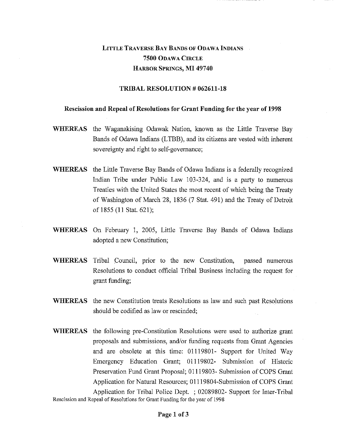## LITTLE TRAVERSE BAY BANDS OF ODAWA INDIANS **7500** ODAWA CIRCLE HARBOR SPRINGS, MI **49740**

## **TRIBAL RESOLUTION # 062611-18**

## **Rescission and Repeal of Resolutions for Grant Funding for the year of 1998**

- **WHEREAS** the Waganakising Odawak Nation, known as the Little Traverse Bay Bands of Odawa Indians (LTBB), and its citizens are vested with inherent sovereignty and right to self-governance;
- **WHEREAS** the Little Traverse Bay Bands of Odawa Indians is a federally recognized Indian Tribe under Public Law 103-324, and is a party to numerous Treaties with the United States the most recent of which being the Treaty of Washington of March 28, 1836 (7 Stat. 491) and the Treaty of Detroit of 1855 **(11** Stat. 621);
- **WHEREAS** On February 1, 2005, Little Traverse Bay Bands of Odawa Indians adopted a new Constitution;
- **WHEREAS** Tribal Council, prior to the new Constitution, passed numerous Resolutions to conduct official Tribal Business including the request for grant funding;
- **WHEREAS** the new Constitution treats Resolutions as law and such past Resolutions should be codified as law or rescinded;
- **WHEREAS** the following pre-Constitution Resolutions were used to authorize grant proposals and submissions, and/or funding requests from Grant Agencies and are obsolete at this time: 01119801- Support for United Way Emergency Education Grant; 01119802- Submission of Historic Preservation Fund Grant Proposal; 01119803- Submission of COPS Grant Application for Natural Resources; 01119804-Submission of COPS Grant Application for Tribal Police Dept. ; 02089802- Support for Inter-Tribal Rescission and Repeal of Resolutions for Grant Funding for the year of 1998

**Page 1 of 3**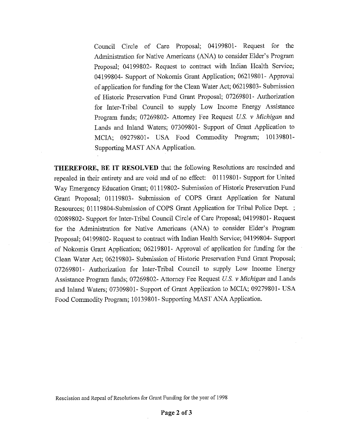Council Circle of Care Proposal; 04199801- Request for the Administration for Native Americans (ANA) to consider Elder's Program Proposal; 04199802- Request to contract with Indian Health Service; 04199804- Support of Nokomis Grant Application; 06219801- Approval of application for funding for the Clean Water Act; 06219803- Submission of Historic Preservation. Fund Grant Proposal; 07269801- Authorization for Inter-Tribal Council to supply Low Income Energy Assistance Program funds; 07269802- Attorney Fee Request *U.S.* v *Michigan* and Lands and Inland Waters; 07309801- Support of Grant Application to MCIA; 09279801- USA Food Commodity Program; 10139801- Supporting MAST ANA Application.

THEREFORE, BE IT RESOLVED that the following Resolutions are rescinded and repealed in their entirety and are void and of no effect: 01119801- Support for United Way Emergency Education Grant; 01119802- Submission of Historic Preservation Fund Grant Proposal; 01119803- Submission of COPS Grant Application for Natural Resources; 01119804-Submission of COPS Grant Application for Tribal Police Dept. ; 02089802- Support for Inter-Tribal Council Circle of Care Proposal; 04199801- Request for the Administration for Native Americans (ANA) to consider Elder's Program Proposal; 04199802- Request to contract with Indian Health Service; 04199804- Support of Nokomis Grant Application; 06219801- Approval of application for funding for the Clean Water Act; 06219803- Submission of Historic Preservation Fund Grant Proposal; 07269801- Authorization for Inter-Tribal Council to supply Low Income Energy Assistance Program funds; 07269802- Attorney Fee Request *U.S. v Michigan* and Lands and Inland Waters; 07309801- Support of Grant Application to MCIA; 09279801- USA Food Commodity Program; 10139801- Supporting MAST ANA Application.

Rescission and Repeal of Resolutions for Grant Funding for the year of 1998